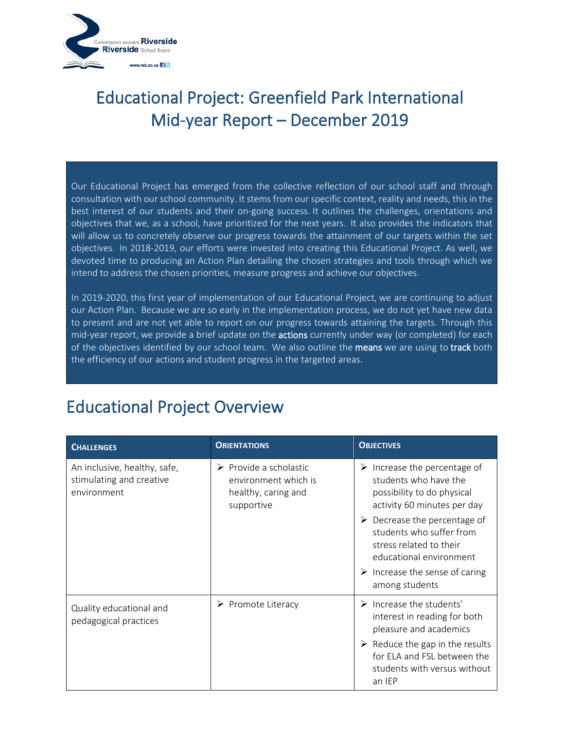

Our Educational Project has emerged from the collective reflection of our school staff and through consultation with our school community. It stems from our specific context, reality and needs, this in the best interest of our students and their on-going success. It outlines the challenges, orientations and objectives that we, as a school, have prioritized for the next years. It also provides the indicators that will allow us to concretely observe our progress towards the attainment of our targets within the set objectives. In 2018-2019, our efforts were invested into creating this Educational Project. As well, we devoted time to producing an Action Plan detailing the chosen strategies and tools through which we intend to address the chosen priorities, measure progress and achieve our objectives.

In 2019-2020, this first year of implementation of our Educational Project, we are continuing to adjust our Action Plan. Because we are so early in the implementation process, we do not yet have new data to present and are not yet able to report on our progress towards attaining the targets. Through this mid-year report, we provide a brief update on the **actions** currently under way (or completed) for each of the objectives identified by our school team. We also outline the means we are using to track both the efficiency of our actions and student progress in the targeted areas.

#### Educational Project Overview

| <b>CHALLENGES</b>                                                       | <b>ORIENTATIONS</b>                                                                                | <b>OBJECTIVES</b>                                                                                                                                                                                |
|-------------------------------------------------------------------------|----------------------------------------------------------------------------------------------------|--------------------------------------------------------------------------------------------------------------------------------------------------------------------------------------------------|
| An inclusive, healthy, safe,<br>stimulating and creative<br>environment | $\triangleright$ Provide a scholastic<br>environment which is<br>healthy, caring and<br>supportive | $\triangleright$ Increase the percentage of<br>students who have the<br>possibility to do physical<br>activity 60 minutes per day                                                                |
|                                                                         |                                                                                                    | $\triangleright$ Decrease the percentage of<br>students who suffer from<br>stress related to their<br>educational environment<br>$\triangleright$ Increase the sense of caring<br>among students |
| Quality educational and<br>pedagogical practices                        | $\triangleright$ Promote Literacy                                                                  | $\triangleright$ Increase the students'<br>interest in reading for both<br>pleasure and academics                                                                                                |
|                                                                         |                                                                                                    | $\triangleright$ Reduce the gap in the results<br>for ELA and FSL between the<br>students with versus without<br>an IEP                                                                          |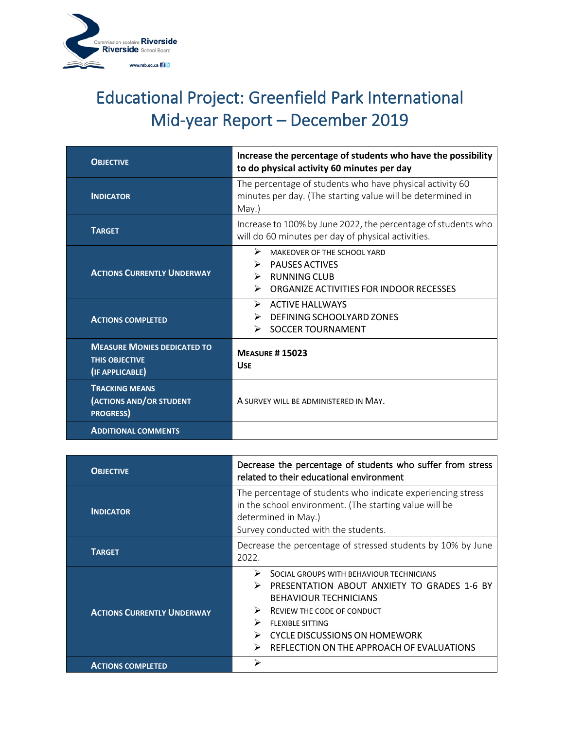

| <b>OBJECTIVE</b>                                                               | Increase the percentage of students who have the possibility<br>to do physical activity 60 minutes per day                            |
|--------------------------------------------------------------------------------|---------------------------------------------------------------------------------------------------------------------------------------|
| <b>INDICATOR</b>                                                               | The percentage of students who have physical activity 60<br>minutes per day. (The starting value will be determined in<br>May.)       |
| <b>TARGET</b>                                                                  | Increase to 100% by June 2022, the percentage of students who<br>will do 60 minutes per day of physical activities.                   |
| <b>ACTIONS CURRENTLY UNDERWAY</b>                                              | ➤<br>MAKEOVER OF THE SCHOOL YARD<br><b>PAUSES ACTIVES</b><br><b>RUNNING CLUB</b><br>⋗<br>ORGANIZE ACTIVITIES FOR INDOOR RECESSES<br>↘ |
| <b>ACTIONS COMPLETED</b>                                                       | $\triangleright$ ACTIVE HALLWAYS<br>DEFINING SCHOOLYARD ZONES<br>↘<br><b>SOCCER TOURNAMENT</b><br>↘                                   |
| <b>MEASURE MONIES DEDICATED TO</b><br><b>THIS OBJECTIVE</b><br>(IF APPLICABLE) | <b>MEASURE #15023</b><br><b>USF</b>                                                                                                   |
| <b>TRACKING MEANS</b><br>(ACTIONS AND/OR STUDENT<br><b>PROGRESS</b> )          | A SURVEY WILL BE ADMINISTERED IN MAY.                                                                                                 |
| <b>ADDITIONAL COMMENTS</b>                                                     |                                                                                                                                       |

| <b>OBJECTIVE</b>                  | Decrease the percentage of students who suffer from stress<br>related to their educational environment                                                                                                                                                                        |  |
|-----------------------------------|-------------------------------------------------------------------------------------------------------------------------------------------------------------------------------------------------------------------------------------------------------------------------------|--|
| <b>INDICATOR</b>                  | The percentage of students who indicate experiencing stress<br>in the school environment. (The starting value will be<br>determined in May.)<br>Survey conducted with the students.                                                                                           |  |
| <b>TARGET</b>                     | Decrease the percentage of stressed students by 10% by June<br>2022.                                                                                                                                                                                                          |  |
| <b>ACTIONS CURRENTLY UNDERWAY</b> | ⋗<br>SOCIAL GROUPS WITH BEHAVIOUR TECHNICIANS<br>PRESENTATION ABOUT ANXIETY TO GRADES 1-6 BY<br><b>BEHAVIOUR TECHNICIANS</b><br>REVIEW THE CODE OF CONDUCT<br>⋗<br><b>FLEXIBLE SITTING</b><br>CYCLE DISCUSSIONS ON HOMEWORK<br>REFLECTION ON THE APPROACH OF EVALUATIONS<br>↘ |  |
| <b>ACTIONS COMPLETED</b>          | ↘                                                                                                                                                                                                                                                                             |  |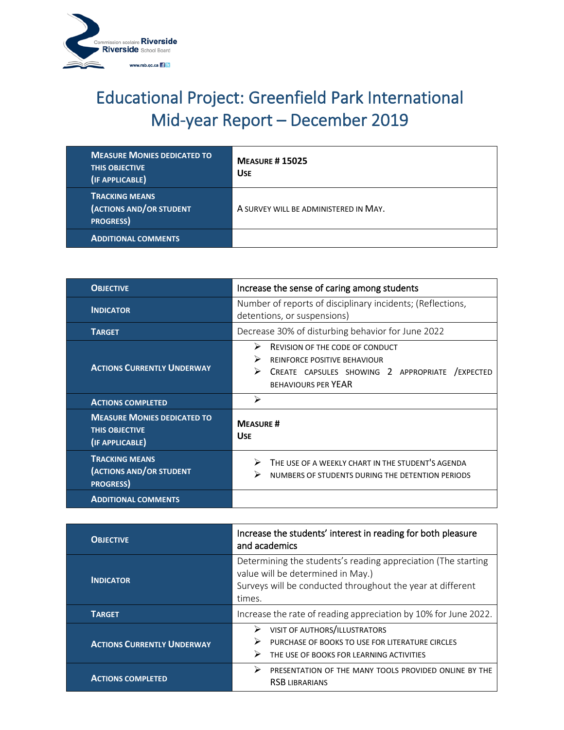

| <b>MEASURE MONIES DEDICATED TO</b><br><b>THIS OBJECTIVE</b><br>(IF APPLICABLE) | <b>MEASURE #15025</b><br><b>USE</b>   |
|--------------------------------------------------------------------------------|---------------------------------------|
| <b>TRACKING MEANS</b><br>(ACTIONS AND/OR STUDENT<br><b>PROGRESS</b>            | A SURVEY WILL BE ADMINISTERED IN MAY. |
| <b>ADDITIONAL COMMENTS</b>                                                     |                                       |

| <b>OBJECTIVE</b>                                                               | Increase the sense of caring among students                                                                                                                            |  |
|--------------------------------------------------------------------------------|------------------------------------------------------------------------------------------------------------------------------------------------------------------------|--|
| <b>INDICATOR</b>                                                               | Number of reports of disciplinary incidents; (Reflections,<br>detentions, or suspensions)                                                                              |  |
| <b>TARGET</b>                                                                  | Decrease 30% of disturbing behavior for June 2022                                                                                                                      |  |
| <b>ACTIONS CURRENTLY UNDERWAY</b>                                              | ⋗<br><b>REVISION OF THE CODE OF CONDUCT</b><br><b>REINFORCE POSITIVE BEHAVIOUR</b><br>CREATE CAPSULES SHOWING 2 APPROPRIATE<br>/EXPECTED<br><b>BEHAVIOURS PER YEAR</b> |  |
| <b>ACTIONS COMPLETED</b>                                                       | ⋗                                                                                                                                                                      |  |
| <b>MEASURE MONIES DEDICATED TO</b><br><b>THIS OBJECTIVE</b><br>(IF APPLICABLE) | <b>MEASURE #</b><br><b>USE</b>                                                                                                                                         |  |
| <b>TRACKING MEANS</b><br>(ACTIONS AND/OR STUDENT<br><b>PROGRESS</b>            | THE USE OF A WEEKLY CHART IN THE STUDENT'S AGENDA<br>➤<br>⋗<br>NUMBERS OF STUDENTS DURING THE DETENTION PERIODS                                                        |  |
| <b>ADDITIONAL COMMENTS</b>                                                     |                                                                                                                                                                        |  |

| <b>OBJECTIVE</b>                  | Increase the students' interest in reading for both pleasure<br>and academics                                                                                              |  |
|-----------------------------------|----------------------------------------------------------------------------------------------------------------------------------------------------------------------------|--|
| <b>INDICATOR</b>                  | Determining the students's reading appreciation (The starting<br>value will be determined in May.)<br>Surveys will be conducted throughout the year at different<br>times. |  |
| <b>TARGET</b>                     | Increase the rate of reading appreciation by 10% for June 2022.                                                                                                            |  |
| <b>ACTIONS CURRENTLY UNDERWAY</b> | VISIT OF AUTHORS/ILLUSTRATORS<br>➤<br>PURCHASE OF BOOKS TO USE FOR LITERATURE CIRCLES<br>➤<br>THE USE OF BOOKS FOR LEARNING ACTIVITIES                                     |  |
| <b>ACTIONS COMPLETED</b>          | ⋗<br>PRESENTATION OF THE MANY TOOLS PROVIDED ONLINE BY THE<br><b>RSB LIBRARIANS</b>                                                                                        |  |